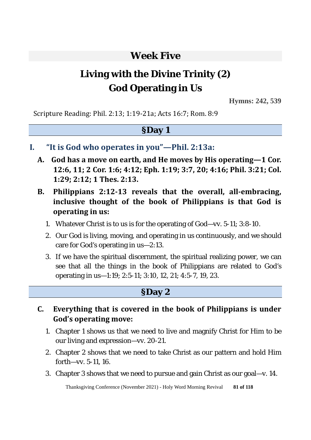#### **Week Five**

# **Living with the Divine Trinity (2) God Operating in Us**

**Hymns: 242, 539** 

Scripture Reading: Phil. 2:13; 1:19-21a; Acts 16:7; Rom. 8:9

#### **§Day 1**

#### **I. "It is God who operates in you"—Phil. 2:13a:**

- **A. God has a move on earth, and He moves by His operating—1 Cor. 12:6, 11; 2 Cor. 1:6; 4:12; Eph. 1:19; 3:7, 20; 4:16; Phil. 3:21; Col. 1:29; 2:12; 1 Thes. 2:13.**
- **B. Philippians 2:12-13 reveals that the overall, all-embracing, inclusive thought of the book of Philippians is that God is operating in us:**
	- 1. Whatever Christ is to us is for the operating of God—vv. 5-11; 3:8-10.
	- 2. Our God is living, moving, and operating in us continuously, and we should care for God's operating in us—2:13.
	- 3. If we have the spiritual discernment, the spiritual realizing power, we can see that all the things in the book of Philippians are related to God's operating in us—1:19; 2:5-11; 3:10, 12, 21; 4:5-7, 19, 23.

#### **§Day 2**

- **C. Everything that is covered in the book of Philippians is under God's operating move:**
	- 1. Chapter 1 shows us that we need to live and magnify Christ for Him to be our living and expression—vv. 20-21.
	- 2. Chapter 2 shows that we need to take Christ as our pattern and hold Him forth—vv. 5-11, 16.
	- 3. Chapter 3 shows that we need to pursue and gain Christ as our goal—v. 14.

Thanksgiving Conference (November 2021) - Holy Word Morning Revival **81 of 118**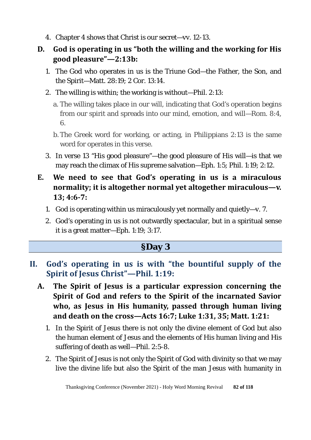4. Chapter 4 shows that Christ is our secret—vv. 12-13.

#### **D. God is operating in us "both the willing and the working for His good pleasure"—2:13b:**

- 1. The God who operates in us is the Triune God—the Father, the Son, and the Spirit—Matt. 28:19; 2 Cor. 13:14.
- 2. The willing is within; the working is without—Phil. 2:13:
	- a. The willing takes place in our will, indicating that God's operation begins from our spirit and spreads into our mind, emotion, and will—Rom. 8:4, 6.
	- b. The Greek word for working, or acting, in Philippians 2:13 is the same word for operates in this verse.
- 3. In verse 13 "His good pleasure"—the good pleasure of His will—is that we may reach the climax of His supreme salvation—Eph. 1:5; Phil. 1:19; 2:12.
- **E. We need to see that God's operating in us is a miraculous normality; it is altogether normal yet altogether miraculous—v. 13; 4:6-7:** 
	- 1. God is operating within us miraculously yet normally and quietly—v. 7.
	- 2. God's operating in us is not outwardly spectacular, but in a spiritual sense it is a great matter—Eph. 1:19; 3:17.

#### **§Day 3**

- **II. God's operating in us is with "the bountiful supply of the Spirit of Jesus Christ"—Phil. 1:19:**
	- **A. The Spirit of Jesus is a particular expression concerning the Spirit of God and refers to the Spirit of the incarnated Savior who, as Jesus in His humanity, passed through human living and death on the cross—Acts 16:7; Luke 1:31, 35; Matt. 1:21:** 
		- 1. In the Spirit of Jesus there is not only the divine element of God but also the human element of Jesus and the elements of His human living and His suffering of death as well—Phil. 2:5-8.
		- 2. The Spirit of Jesus is not only the Spirit of God with divinity so that we may live the divine life but also the Spirit of the man Jesus with humanity in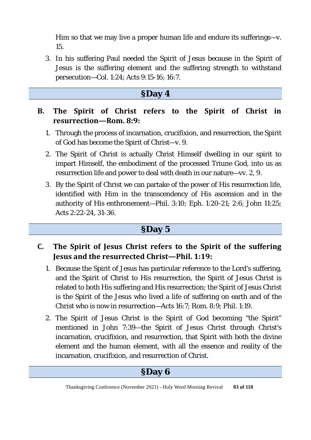Him so that we may live a proper human life and endure its sufferings—v. 15.

3. In his suffering Paul needed the Spirit of Jesus because in the Spirit of Jesus is the suffering element and the suffering strength to withstand persecution—Col. 1:24; Acts 9:15-16; 16:7.

| $$$ Day 4                                                                                                                                                                                                                                                    |
|--------------------------------------------------------------------------------------------------------------------------------------------------------------------------------------------------------------------------------------------------------------|
| The Spirit of Christ refers to the Spirit of Christ in<br>В.<br>resurrection-Rom. 8:9:                                                                                                                                                                       |
| 1. Through the process of incarnation, crucifixion, and resurrection, the Spirit<br>of God has become the Spirit of Christ-v. 9.                                                                                                                             |
| 2. The Spirit of Christ is actually Christ Himself dwelling in our spirit to<br>impart Himself, the embodiment of the processed Triune God, into us as<br>resurrection life and power to deal with death in our nature-vv. 2, 9.                             |
| 3. By the Spirit of Christ we can partake of the power of His resurrection life,<br>identified with Him in the transcendency of His ascension and in the<br>authority of His enthronement-Phil. 3:10; Eph. 1:20-21; 2:6; John 11:25;<br>Acts 2:22-24, 31-36. |
| $$$ Day 5                                                                                                                                                                                                                                                    |
| The Spirit of Jesus Christ refers to the Spirit of the suffering<br>C.<br>Jesus and the resurrected Christ-Phil. 1:19:                                                                                                                                       |

- 1. Because the Spirit of Jesus has particular reference to the Lord's suffering, and the Spirit of Christ to His resurrection, the Spirit of Jesus Christ is related to both His suffering and His resurrection; the Spirit of Jesus Christ is the Spirit of the Jesus who lived a life of suffering on earth and of the Christ who is now in resurrection—Acts 16:7; Rom. 8:9; Phil. 1:19.
- 2. The Spirit of Jesus Christ is the Spirit of God becoming "the Spirit" mentioned in John 7:39—the Spirit of Jesus Christ through Christ's incarnation, crucifixion, and resurrection, that Spirit with both the divine element and the human element, with all the essence and reality of the incarnation, crucifixion, and resurrection of Christ.

### **§Day 6**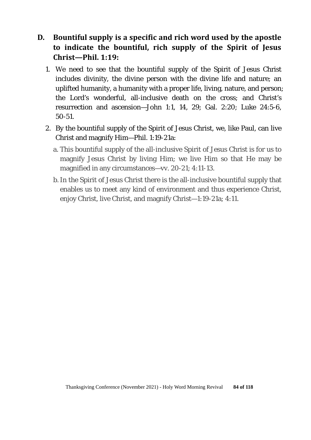- **D. Bountiful supply is a specific and rich word used by the apostle to indicate the bountiful, rich supply of the Spirit of Jesus Christ—Phil. 1:19:** 
	- 1. We need to see that the bountiful supply of the Spirit of Jesus Christ includes divinity, the divine person with the divine life and nature; an uplifted humanity, a humanity with a proper life, living, nature, and person; the Lord's wonderful, all-inclusive death on the cross; and Christ's resurrection and ascension—John 1:1, 14, 29; Gal. 2:20; Luke 24:5-6, 50-51.
	- 2. By the bountiful supply of the Spirit of Jesus Christ, we, like Paul, can live Christ and magnify Him—Phil. 1:19-21a:
		- a. This bountiful supply of the all-inclusive Spirit of Jesus Christ is for us to magnify Jesus Christ by living Him; we live Him so that He may be magnified in any circumstances—vv. 20-21; 4:11-13.
		- b.In the Spirit of Jesus Christ there is the all-inclusive bountiful supply that enables us to meet any kind of environment and thus experience Christ, enjoy Christ, live Christ, and magnify Christ—1:19-21a; 4:11.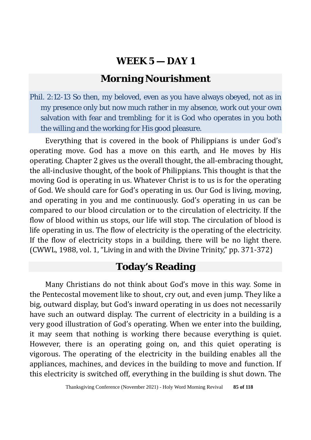#### **Morning Nourishment**

Phil. 2:12-13 So then, my beloved, even as you have always obeyed, not as in my presence only but now much rather in my absence, work out your own salvation with fear and trembling; for it is God who operates in you both the willing and the working for His good pleasure.

Everything that is covered in the book of Philippians is under God's operating move. God has a move on this earth, and He moves by His operating. Chapter 2 gives us the overall thought, the all-embracing thought, the all-inclusive thought, of the book of Philippians. This thought is that the moving God is operating in us. Whatever Christ is to us is for the operating of God. We should care for God's operating in us. Our God is living, moving, and operating in you and me continuously. God's operating in us can be compared to our blood circulation or to the circulation of electricity. If the flow of blood within us stops, our life will stop. The circulation of blood is life operating in us. The flow of electricity is the operating of the electricity. If the flow of electricity stops in a building, there will be no light there. (CWWL, 1988, vol. 1, "Living in and with the Divine Trinity," pp. 371-372)

#### **Today's Reading**

Many Christians do not think about God's move in this way. Some in the Pentecostal movement like to shout, cry out, and even jump. They like a big, outward display, but God's inward operating in us does not necessarily have such an outward display. The current of electricity in a building is a very good illustration of God's operating. When we enter into the building, it may seem that nothing is working there because everything is quiet. However, there is an operating going on, and this quiet operating is vigorous. The operating of the electricity in the building enables all the appliances, machines, and devices in the building to move and function. If this electricity is switched off, everything in the building is shut down. The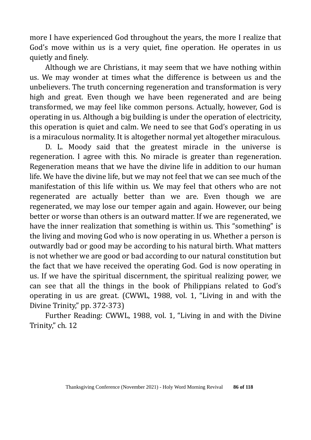more I have experienced God throughout the years, the more I realize that God's move within us is a very quiet, fine operation. He operates in us quietly and finely.

Although we are Christians, it may seem that we have nothing within us. We may wonder at times what the difference is between us and the unbelievers. The truth concerning regeneration and transformation is very high and great. Even though we have been regenerated and are being transformed, we may feel like common persons. Actually, however, God is operating in us. Although a big building is under the operation of electricity, this operation is quiet and calm. We need to see that God's operating in us is a miraculous normality. It is altogether normal yet altogether miraculous.

D. L. Moody said that the greatest miracle in the universe is regeneration. I agree with this. No miracle is greater than regeneration. Regeneration means that we have the divine life in addition to our human life. We have the divine life, but we may not feel that we can see much of the manifestation of this life within us. We may feel that others who are not regenerated are actually better than we are. Even though we are regenerated, we may lose our temper again and again. However, our being better or worse than others is an outward matter. If we are regenerated, we have the inner realization that something is within us. This "something" is the living and moving God who is now operating in us. Whether a person is outwardly bad or good may be according to his natural birth. What matters is not whether we are good or bad according to our natural constitution but the fact that we have received the operating God. God is now operating in us. If we have the spiritual discernment, the spiritual realizing power, we can see that all the things in the book of Philippians related to God's operating in us are great. (CWWL, 1988, vol. 1, "Living in and with the Divine Trinity," pp. 372-373)

Further Reading: CWWL, 1988, vol. 1, "Living in and with the Divine Trinity," ch. 12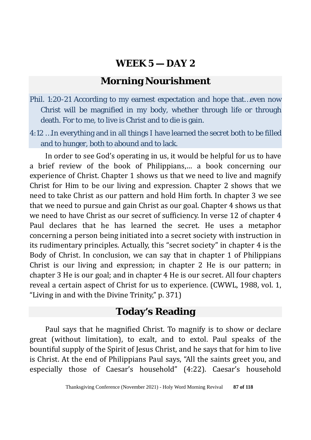#### **Morning Nourishment**

- Phil. 1:20-21 According to my earnest expectation and hope that…even now Christ will be magnified in my body, whether through life or through death. For to me, to live is Christ and to die is gain.
- 4:12 …In everything and in all things I have learned the secret both to be filled and to hunger, both to abound and to lack.

In order to see God's operating in us, it would be helpful for us to have a brief review of the book of Philippians,… a book concerning our experience of Christ. Chapter 1 shows us that we need to live and magnify Christ for Him to be our living and expression. Chapter 2 shows that we need to take Christ as our pattern and hold Him forth. In chapter 3 we see that we need to pursue and gain Christ as our goal. Chapter 4 shows us that we need to have Christ as our secret of sufficiency. In verse 12 of chapter 4 Paul declares that he has learned the secret. He uses a metaphor concerning a person being initiated into a secret society with instruction in its rudimentary principles. Actually, this "secret society" in chapter 4 is the Body of Christ. In conclusion, we can say that in chapter 1 of Philippians Christ is our living and expression; in chapter 2 He is our pattern; in chapter 3 He is our goal; and in chapter 4 He is our secret. All four chapters reveal a certain aspect of Christ for us to experience. (CWWL, 1988, vol. 1, "Living in and with the Divine Trinity," p. 371)

### **Today's Reading**

Paul says that he magnified Christ. To magnify is to show or declare great (without limitation), to exalt, and to extol. Paul speaks of the bountiful supply of the Spirit of Jesus Christ, and he says that for him to live is Christ. At the end of Philippians Paul says, "All the saints greet you, and especially those of Caesar's household" (4:22). Caesar's household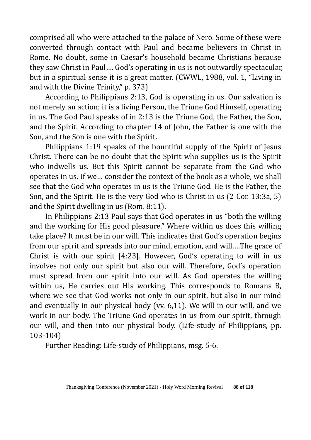comprised all who were attached to the palace of Nero. Some of these were converted through contact with Paul and became believers in Christ in Rome. No doubt, some in Caesar's household became Christians because they saw Christ in Paul…. God's operating in us is not outwardly spectacular, but in a spiritual sense it is a great matter. (CWWL, 1988, vol. 1, "Living in and with the Divine Trinity," p. 373)

According to Philippians 2:13, God is operating in us. Our salvation is not merely an action; it is a living Person, the Triune God Himself, operating in us. The God Paul speaks of in 2:13 is the Triune God, the Father, the Son, and the Spirit. According to chapter 14 of John, the Father is one with the Son, and the Son is one with the Spirit.

Philippians 1:19 speaks of the bountiful supply of the Spirit of Jesus Christ. There can be no doubt that the Spirit who supplies us is the Spirit who indwells us. But this Spirit cannot be separate from the God who operates in us. If we… consider the context of the book as a whole, we shall see that the God who operates in us is the Triune God. He is the Father, the Son, and the Spirit. He is the very God who is Christ in us (2 Cor. 13:3a, 5) and the Spirit dwelling in us (Rom. 8:11).

In Philippians 2:13 Paul says that God operates in us "both the willing and the working for His good pleasure." Where within us does this willing take place? It must be in our will. This indicates that God's operation begins from our spirit and spreads into our mind, emotion, and will….The grace of Christ is with our spirit [4:23]. However, God's operating to will in us involves not only our spirit but also our will. Therefore, God's operation must spread from our spirit into our will. As God operates the willing within us, He carries out His working. This corresponds to Romans 8, where we see that God works not only in our spirit, but also in our mind and eventually in our physical body (vv. 6,11). We will in our will, and we work in our body. The Triune God operates in us from our spirit, through our will, and then into our physical body. (Life-study of Philippians, pp. 103-104)

Further Reading: Life-study of Philippians, msg. 5-6.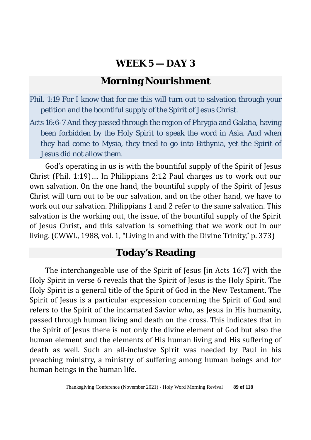#### **Morning Nourishment**

- Phil. 1:19 For I know that for me this will turn out to salvation through your petition and the bountiful supply of the Spirit of Jesus Christ.
- Acts 16:6-7 And they passed through the region of Phrygia and Galatia, having been forbidden by the Holy Spirit to speak the word in Asia. And when they had come to Mysia, they tried to go into Bithynia, yet the Spirit of Jesus did not allow them.

God's operating in us is with the bountiful supply of the Spirit of Jesus Christ (Phil. 1:19)…. In Philippians 2:12 Paul charges us to work out our own salvation. On the one hand, the bountiful supply of the Spirit of Jesus Christ will turn out to be our salvation, and on the other hand, we have to work out our salvation. Philippians 1 and 2 refer to the same salvation. This salvation is the working out, the issue, of the bountiful supply of the Spirit of Jesus Christ, and this salvation is something that we work out in our living. (CWWL, 1988, vol. 1, "Living in and with the Divine Trinity," p. 373)

### **Today's Reading**

The interchangeable use of the Spirit of Jesus [in Acts 16:7] with the Holy Spirit in verse 6 reveals that the Spirit of Jesus is the Holy Spirit. The Holy Spirit is a general title of the Spirit of God in the New Testament. The Spirit of Jesus is a particular expression concerning the Spirit of God and refers to the Spirit of the incarnated Savior who, as Jesus in His humanity, passed through human living and death on the cross. This indicates that in the Spirit of Jesus there is not only the divine element of God but also the human element and the elements of His human living and His suffering of death as well. Such an all-inclusive Spirit was needed by Paul in his preaching ministry, a ministry of suffering among human beings and for human beings in the human life.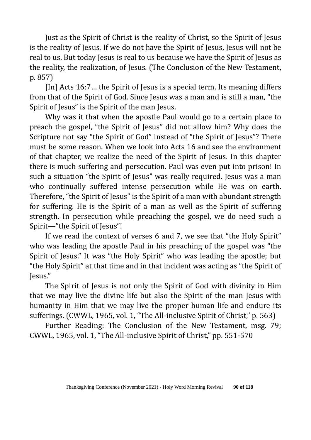Just as the Spirit of Christ is the reality of Christ, so the Spirit of Jesus is the reality of Jesus. If we do not have the Spirit of Jesus, Jesus will not be real to us. But today Jesus is real to us because we have the Spirit of Jesus as the reality, the realization, of Jesus. (The Conclusion of the New Testament, p. 857)

[In] Acts 16:7… the Spirit of Jesus is a special term. Its meaning differs from that of the Spirit of God. Since Jesus was a man and is still a man, "the Spirit of Jesus" is the Spirit of the man Jesus.

Why was it that when the apostle Paul would go to a certain place to preach the gospel, "the Spirit of Jesus" did not allow him? Why does the Scripture not say "the Spirit of God" instead of "the Spirit of Jesus"? There must be some reason. When we look into Acts 16 and see the environment of that chapter, we realize the need of the Spirit of Jesus. In this chapter there is much suffering and persecution. Paul was even put into prison! In such a situation "the Spirit of Jesus" was really required. Jesus was a man who continually suffered intense persecution while He was on earth. Therefore, "the Spirit of Jesus" is the Spirit of a man with abundant strength for suffering. He is the Spirit of a man as well as the Spirit of suffering strength. In persecution while preaching the gospel, we do need such a Spirit—"the Spirit of Jesus"!

If we read the context of verses 6 and 7, we see that "the Holy Spirit" who was leading the apostle Paul in his preaching of the gospel was "the Spirit of Jesus." It was "the Holy Spirit" who was leading the apostle; but "the Holy Spirit" at that time and in that incident was acting as "the Spirit of Jesus."

The Spirit of Jesus is not only the Spirit of God with divinity in Him that we may live the divine life but also the Spirit of the man Jesus with humanity in Him that we may live the proper human life and endure its sufferings. (CWWL, 1965, vol. 1, "The All-inclusive Spirit of Christ," p. 563)

Further Reading: The Conclusion of the New Testament, msg. 79; CWWL, 1965, vol. 1, "The All-inclusive Spirit of Christ," pp. 551-570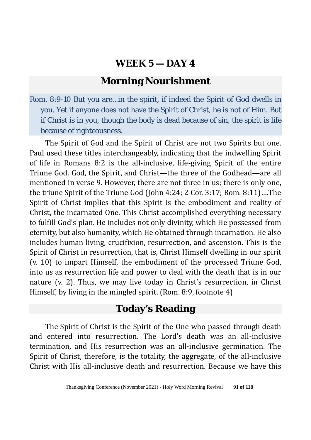#### **Morning Nourishment**

Rom. 8:9-10 But you are…in the spirit, if indeed the Spirit of God dwells in you. Yet if anyone does not have the Spirit of Christ, he is not of Him. But if Christ is in you, though the body is dead because of sin, the spirit is life because of righteousness.

The Spirit of God and the Spirit of Christ are not two Spirits but one. Paul used these titles interchangeably, indicating that the indwelling Spirit of life in Romans 8:2 is the all-inclusive, life-giving Spirit of the entire Triune God. God, the Spirit, and Christ—the three of the Godhead—are all mentioned in verse 9. However, there are not three in us; there is only one, the triune Spirit of the Triune God (John 4:24; 2 Cor. 3:17; Rom. 8:11)….The Spirit of Christ implies that this Spirit is the embodiment and reality of Christ, the incarnated One. This Christ accomplished everything necessary to fulfill God's plan. He includes not only divinity, which He possessed from eternity, but also humanity, which He obtained through incarnation. He also includes human living, crucifixion, resurrection, and ascension. This is the Spirit of Christ in resurrection, that is, Christ Himself dwelling in our spirit (v. 10) to impart Himself, the embodiment of the processed Triune God, into us as resurrection life and power to deal with the death that is in our nature (v. 2). Thus, we may live today in Christ's resurrection, in Christ Himself, by living in the mingled spirit. (Rom. 8:9, footnote 4)

#### **Today's Reading**

The Spirit of Christ is the Spirit of the One who passed through death and entered into resurrection. The Lord's death was an all-inclusive termination, and His resurrection was an all-inclusive germination. The Spirit of Christ, therefore, is the totality, the aggregate, of the all-inclusive Christ with His all-inclusive death and resurrection. Because we have this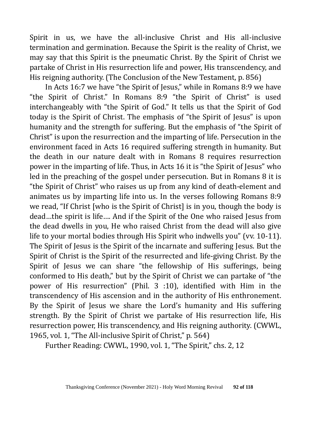Spirit in us, we have the all-inclusive Christ and His all-inclusive termination and germination. Because the Spirit is the reality of Christ, we may say that this Spirit is the pneumatic Christ. By the Spirit of Christ we partake of Christ in His resurrection life and power, His transcendency, and His reigning authority. (The Conclusion of the New Testament, p. 856)

In Acts 16:7 we have "the Spirit of Jesus," while in Romans 8:9 we have "the Spirit of Christ." In Romans 8:9 "the Spirit of Christ" is used interchangeably with "the Spirit of God." It tells us that the Spirit of God today is the Spirit of Christ. The emphasis of "the Spirit of Jesus" is upon humanity and the strength for suffering. But the emphasis of "the Spirit of Christ" is upon the resurrection and the imparting of life. Persecution in the environment faced in Acts 16 required suffering strength in humanity. But the death in our nature dealt with in Romans 8 requires resurrection power in the imparting of life. Thus, in Acts 16 it is "the Spirit of Jesus" who led in the preaching of the gospel under persecution. But in Romans 8 it is "the Spirit of Christ" who raises us up from any kind of death-element and animates us by imparting life into us. In the verses following Romans 8:9 we read, "If Christ [who is the Spirit of Christ] is in you, though the body is dead…the spirit is life…. And if the Spirit of the One who raised Jesus from the dead dwells in you, He who raised Christ from the dead will also give life to your mortal bodies through His Spirit who indwells you" (vv. 10-11). The Spirit of Jesus is the Spirit of the incarnate and suffering Jesus. But the Spirit of Christ is the Spirit of the resurrected and life-giving Christ. By the Spirit of Jesus we can share "the fellowship of His sufferings, being conformed to His death," but by the Spirit of Christ we can partake of "the power of His resurrection" (Phil. 3 :10), identified with Him in the transcendency of His ascension and in the authority of His enthronement. By the Spirit of Jesus we share the Lord's humanity and His suffering strength. By the Spirit of Christ we partake of His resurrection life, His resurrection power, His transcendency, and His reigning authority. (CWWL, 1965, vol. 1, "The All-inclusive Spirit of Christ," p. 564)

Further Reading: CWWL, 1990, vol. 1, "The Spirit," chs. 2, 12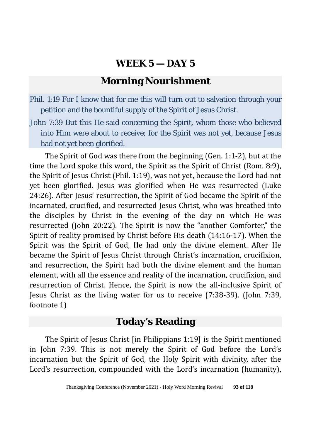#### **Morning Nourishment**

- Phil. 1:19 For I know that for me this will turn out to salvation through your petition and the bountiful supply of the Spirit of Jesus Christ.
- John 7:39 But this He said concerning the Spirit, whom those who believed into Him were about to receive; for the Spirit was not yet, because Jesus had not yet been glorified.

The Spirit of God was there from the beginning (Gen. 1:1-2), but at the time the Lord spoke this word, the Spirit as the Spirit of Christ (Rom. 8:9), the Spirit of Jesus Christ (Phil. 1:19), was not yet, because the Lord had not yet been glorified. Jesus was glorified when He was resurrected (Luke 24:26). After Jesus' resurrection, the Spirit of God became the Spirit of the incarnated, crucified, and resurrected Jesus Christ, who was breathed into the disciples by Christ in the evening of the day on which He was resurrected (John 20:22). The Spirit is now the "another Comforter," the Spirit of reality promised by Christ before His death (14:16-17). When the Spirit was the Spirit of God, He had only the divine element. After He became the Spirit of Jesus Christ through Christ's incarnation, crucifixion, and resurrection, the Spirit had both the divine element and the human element, with all the essence and reality of the incarnation, crucifixion, and resurrection of Christ. Hence, the Spirit is now the all-inclusive Spirit of Jesus Christ as the living water for us to receive (7:38-39). (John 7:39, footnote 1)

#### **Today's Reading**

The Spirit of Jesus Christ [in Philippians 1:19] is the Spirit mentioned in John 7:39. This is not merely the Spirit of God before the Lord's incarnation but the Spirit of God, the Holy Spirit with divinity, after the Lord's resurrection, compounded with the Lord's incarnation (humanity),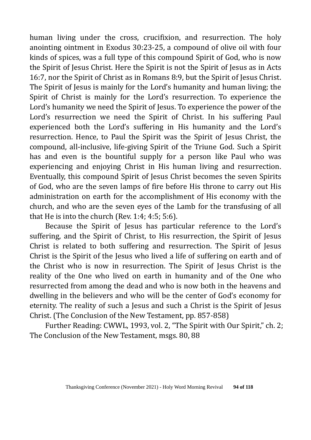human living under the cross, crucifixion, and resurrection. The holy anointing ointment in Exodus 30:23-25, a compound of olive oil with four kinds of spices, was a full type of this compound Spirit of God, who is now the Spirit of Jesus Christ. Here the Spirit is not the Spirit of Jesus as in Acts 16:7, nor the Spirit of Christ as in Romans 8:9, but the Spirit of Jesus Christ. The Spirit of Jesus is mainly for the Lord's humanity and human living; the Spirit of Christ is mainly for the Lord's resurrection. To experience the Lord's humanity we need the Spirit of Jesus. To experience the power of the Lord's resurrection we need the Spirit of Christ. In his suffering Paul experienced both the Lord's suffering in His humanity and the Lord's resurrection. Hence, to Paul the Spirit was the Spirit of Jesus Christ, the compound, all-inclusive, life-giving Spirit of the Triune God. Such a Spirit has and even is the bountiful supply for a person like Paul who was experiencing and enjoying Christ in His human living and resurrection. Eventually, this compound Spirit of Jesus Christ becomes the seven Spirits of God, who are the seven lamps of fire before His throne to carry out His administration on earth for the accomplishment of His economy with the church, and who are the seven eyes of the Lamb for the transfusing of all that He is into the church (Rev. 1:4; 4:5; 5:6).

Because the Spirit of Jesus has particular reference to the Lord's suffering, and the Spirit of Christ, to His resurrection, the Spirit of Jesus Christ is related to both suffering and resurrection. The Spirit of Jesus Christ is the Spirit of the Jesus who lived a life of suffering on earth and of the Christ who is now in resurrection. The Spirit of Jesus Christ is the reality of the One who lived on earth in humanity and of the One who resurrected from among the dead and who is now both in the heavens and dwelling in the believers and who will be the center of God's economy for eternity. The reality of such a Jesus and such a Christ is the Spirit of Jesus Christ. (The Conclusion of the New Testament, pp. 857-858)

Further Reading: CWWL, 1993, vol. 2, "The Spirit with Our Spirit," ch. 2; The Conclusion of the New Testament, msgs. 80, 88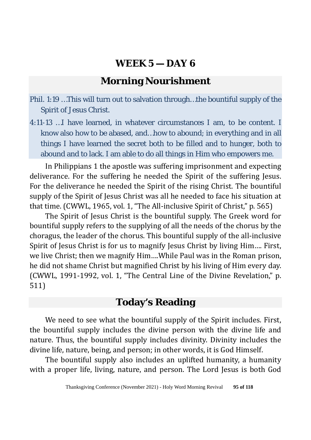### **Morning Nourishment**

- Phil. 1:19 …This will turn out to salvation through…the bountiful supply of the Spirit of Jesus Christ.
- 4:11-13 …I have learned, in whatever circumstances I am, to be content. I know also how to be abased, and…how to abound; in everything and in all things I have learned the secret both to be filled and to hunger, both to abound and to lack. I am able to do all things in Him who empowers me.

In Philippians 1 the apostle was suffering imprisonment and expecting deliverance. For the suffering he needed the Spirit of the suffering Jesus. For the deliverance he needed the Spirit of the rising Christ. The bountiful supply of the Spirit of Jesus Christ was all he needed to face his situation at that time. (CWWL, 1965, vol. 1, "The All-inclusive Spirit of Christ," p. 565)

The Spirit of Jesus Christ is the bountiful supply. The Greek word for bountiful supply refers to the supplying of all the needs of the chorus by the choragus, the leader of the chorus. This bountiful supply of the all-inclusive Spirit of Jesus Christ is for us to magnify Jesus Christ by living Him…. First, we live Christ; then we magnify Him….While Paul was in the Roman prison, he did not shame Christ but magnified Christ by his living of Him every day. (CWWL, 1991-1992, vol. 1, "The Central Line of the Divine Revelation," p. 511)

# **Today's Reading**

We need to see what the bountiful supply of the Spirit includes. First, the bountiful supply includes the divine person with the divine life and nature. Thus, the bountiful supply includes divinity. Divinity includes the divine life, nature, being, and person; in other words, it is God Himself.

The bountiful supply also includes an uplifted humanity, a humanity with a proper life, living, nature, and person. The Lord Jesus is both God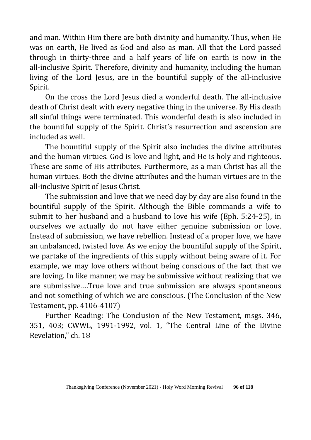and man. Within Him there are both divinity and humanity. Thus, when He was on earth, He lived as God and also as man. All that the Lord passed through in thirty-three and a half years of life on earth is now in the all-inclusive Spirit. Therefore, divinity and humanity, including the human living of the Lord Jesus, are in the bountiful supply of the all-inclusive Spirit.

On the cross the Lord Jesus died a wonderful death. The all-inclusive death of Christ dealt with every negative thing in the universe. By His death all sinful things were terminated. This wonderful death is also included in the bountiful supply of the Spirit. Christ's resurrection and ascension are included as well.

The bountiful supply of the Spirit also includes the divine attributes and the human virtues. God is love and light, and He is holy and righteous. These are some of His attributes. Furthermore, as a man Christ has all the human virtues. Both the divine attributes and the human virtues are in the all-inclusive Spirit of Jesus Christ.

The submission and love that we need day by day are also found in the bountiful supply of the Spirit. Although the Bible commands a wife to submit to her husband and a husband to love his wife (Eph. 5:24-25), in ourselves we actually do not have either genuine submission or love. Instead of submission, we have rebellion. Instead of a proper love, we have an unbalanced, twisted love. As we enjoy the bountiful supply of the Spirit, we partake of the ingredients of this supply without being aware of it. For example, we may love others without being conscious of the fact that we are loving. In like manner, we may be submissive without realizing that we are submissive….True love and true submission are always spontaneous and not something of which we are conscious. (The Conclusion of the New Testament, pp. 4106-4107)

Further Reading: The Conclusion of the New Testament, msgs. 346, 351, 403; CWWL, 1991-1992, vol. 1, "The Central Line of the Divine Revelation," ch. 18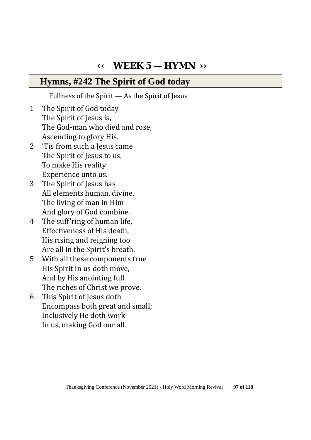# **‹‹ WEEK 5 — HYMN ››**

### **Hymns, #242 The Spirit of God today**

Fullness of the Spirit — As the Spirit of Jesus

- 1 The Spirit of God today The Spirit of Jesus is, The God-man who died and rose, Ascending to glory His.<br>2 Tis from such a lesus ca
- 2 'Tis from such a Jesus came The Spirit of Jesus to us, To make His reality Experience unto us.<br>3 The Spirit of Iesus h
- The Spirit of Jesus has All elements human, divine, The living of man in Him And glory of God combine.<br>4 The suff'ring of human life.
- The suff'ring of human life, Effectiveness of His death, His rising and reigning too Are all in the Spirit's breath.
- 5 With all these components true His Spirit in us doth move, And by His anointing full The riches of Christ we prove.
- 6 This Spirit of Jesus doth Encompass both great and small; Inclusively He doth work In us, making God our all.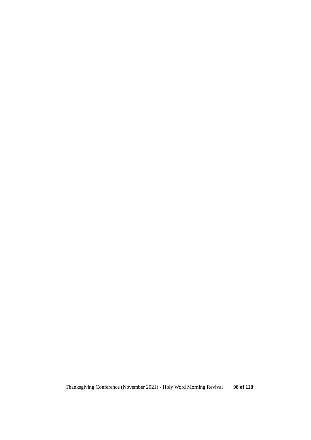Thanksgiving Conference (November 2021) - Holy Word Morning Revival **98 of 118**